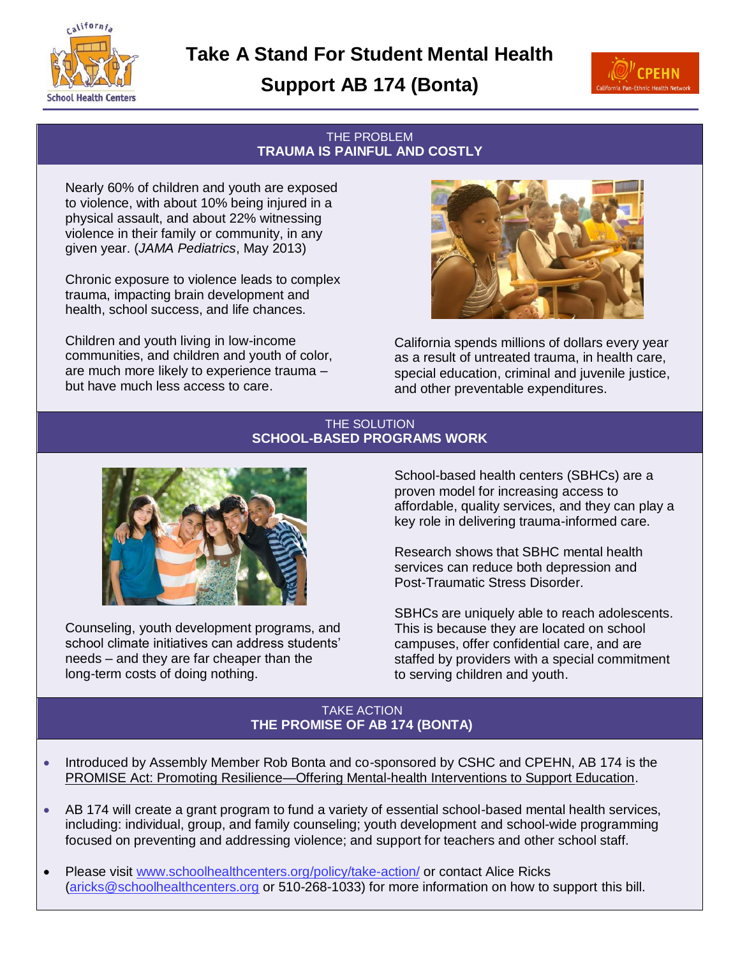**Take A Stand For Student Mental Health**

**Support AB 174 (Bonta)**



### THE PROBLEM **TRAUMA IS PAINFUL AND COSTLY**

Nearly 60% of children and youth are exposed to violence, with about 10% being injured in a physical assault, and about 22% witnessing violence in their family or community, in any given year. (*JAMA Pediatrics*, May 2013)

california

**School Health Centers** 

Chronic exposure to violence leads to complex trauma, impacting brain development and health, school success, and life chances.

Children and youth living in low-income communities, and children and youth of color, are much more likely to experience trauma – but have much less access to care.



California spends millions of dollars every year as a result of untreated trauma, in health care, special education, criminal and juvenile justice, and other preventable expenditures.

### THE SOLUTION **SCHOOL-BASED PROGRAMS WORK**



Counseling, youth development programs, and school climate initiatives can address students' needs – and they are far cheaper than the long-term costs of doing nothing.

School-based health centers (SBHCs) are a proven model for increasing access to affordable, quality services, and they can play a key role in delivering trauma-informed care.

Research shows that SBHC mental health services can reduce both depression and Post-Traumatic Stress Disorder.

SBHCs are uniquely able to reach adolescents. This is because they are located on school campuses, offer confidential care, and are staffed by providers with a special commitment to serving children and youth.

## TAKE ACTION **THE PROMISE OF AB 174 (BONTA)**

- Introduced by Assembly Member Rob Bonta and co-sponsored by CSHC and CPEHN, AB 174 is the PROMISE Act: Promoting Resilience—Offering Mental-health Interventions to Support Education.
- AB 174 will create a grant program to fund a variety of essential school-based mental health services, including: individual, group, and family counseling; youth development and school-wide programming focused on preventing and addressing violence; and support for teachers and other school staff.
- Please visit [www.schoolhealthcenters.org/](http://www.schoolhealthcenters.org/)policy/take-action/ or contact Alice Ricks [\(aricks@schoolhealthcenters.org](mailto:aricks@schoolhealthcenters.org) or 510-268-1033) for more information on how to support this bill.